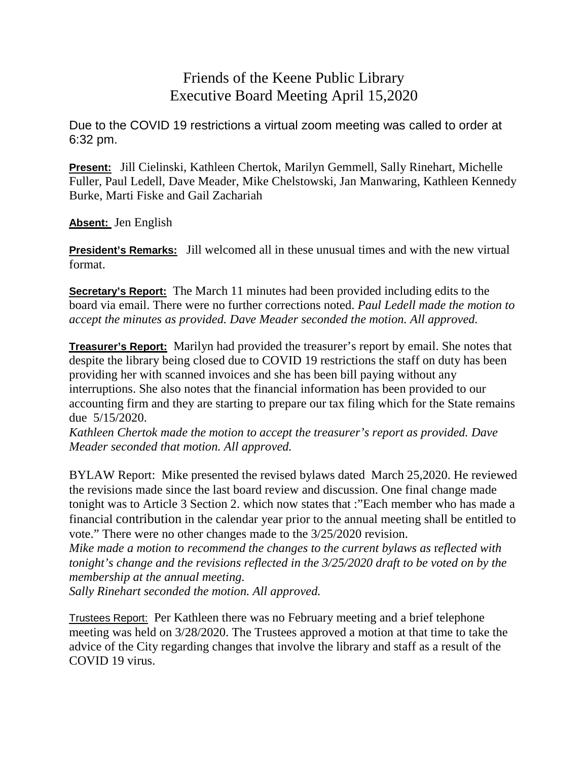## Friends of the Keene Public Library Executive Board Meeting April 15,2020

Due to the COVID 19 restrictions a virtual zoom meeting was called to order at 6:32 pm.

**Present:** Jill Cielinski, Kathleen Chertok, Marilyn Gemmell, Sally Rinehart, Michelle Fuller, Paul Ledell, Dave Meader, Mike Chelstowski, Jan Manwaring, Kathleen Kennedy Burke, Marti Fiske and Gail Zachariah

**Absent:** Jen English

**President's Remarks:** Jill welcomed all in these unusual times and with the new virtual format.

**Secretary's Report:** The March 11 minutes had been provided including edits to the board via email. There were no further corrections noted. *Paul Ledell made the motion to accept the minutes as provided. Dave Meader seconded the motion. All approved.*

**Treasurer's Report:** Marilyn had provided the treasurer's report by email. She notes that despite the library being closed due to COVID 19 restrictions the staff on duty has been providing her with scanned invoices and she has been bill paying without any interruptions. She also notes that the financial information has been provided to our accounting firm and they are starting to prepare our tax filing which for the State remains due 5/15/2020.

*Kathleen Chertok made the motion to accept the treasurer's report as provided. Dave Meader seconded that motion. All approved.*

BYLAW Report: Mike presented the revised bylaws dated March 25,2020. He reviewed the revisions made since the last board review and discussion. One final change made tonight was to Article 3 Section 2. which now states that :"Each member who has made a financial contribution in the calendar year prior to the annual meeting shall be entitled to vote." There were no other changes made to the 3/25/2020 revision.

*Mike made a motion to recommend the changes to the current bylaws as* r*eflected with tonight's change and the revisions reflected in the 3/25/2020 draft to be voted on by the membership at the annual meeting.*

*Sally Rinehart seconded the motion. All approved.*

Trustees Report: Per Kathleen there was no February meeting and a brief telephone meeting was held on 3/28/2020. The Trustees approved a motion at that time to take the advice of the City regarding changes that involve the library and staff as a result of the COVID 19 virus.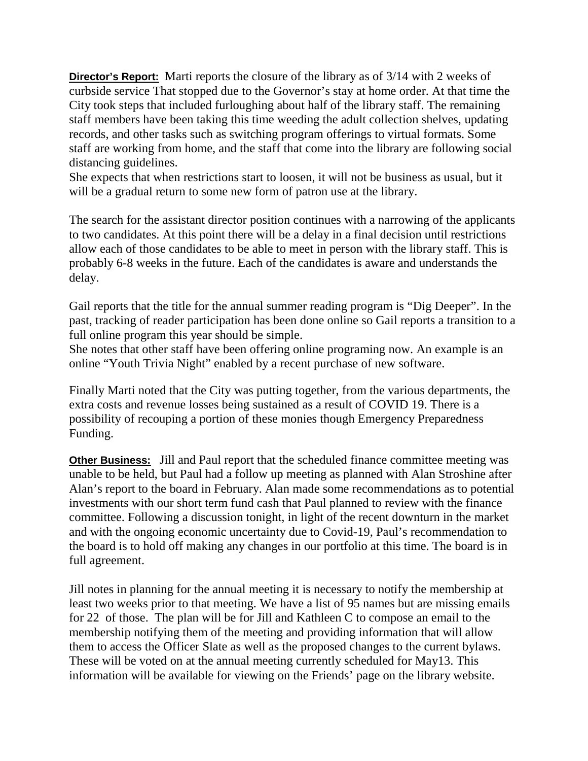**Director's Report:** Marti reports the closure of the library as of 3/14 with 2 weeks of curbside service That stopped due to the Governor's stay at home order. At that time the City took steps that included furloughing about half of the library staff. The remaining staff members have been taking this time weeding the adult collection shelves, updating records, and other tasks such as switching program offerings to virtual formats. Some staff are working from home, and the staff that come into the library are following social distancing guidelines.

She expects that when restrictions start to loosen, it will not be business as usual, but it will be a gradual return to some new form of patron use at the library.

The search for the assistant director position continues with a narrowing of the applicants to two candidates. At this point there will be a delay in a final decision until restrictions allow each of those candidates to be able to meet in person with the library staff. This is probably 6-8 weeks in the future. Each of the candidates is aware and understands the delay.

Gail reports that the title for the annual summer reading program is "Dig Deeper". In the past, tracking of reader participation has been done online so Gail reports a transition to a full online program this year should be simple.

She notes that other staff have been offering online programing now. An example is an online "Youth Trivia Night" enabled by a recent purchase of new software.

Finally Marti noted that the City was putting together, from the various departments, the extra costs and revenue losses being sustained as a result of COVID 19. There is a possibility of recouping a portion of these monies though Emergency Preparedness Funding.

**Other Business:** Jill and Paul report that the scheduled finance committee meeting was unable to be held, but Paul had a follow up meeting as planned with Alan Stroshine after Alan's report to the board in February. Alan made some recommendations as to potential investments with our short term fund cash that Paul planned to review with the finance committee. Following a discussion tonight, in light of the recent downturn in the market and with the ongoing economic uncertainty due to Covid-19, Paul's recommendation to the board is to hold off making any changes in our portfolio at this time. The board is in full agreement.

Jill notes in planning for the annual meeting it is necessary to notify the membership at least two weeks prior to that meeting. We have a list of 95 names but are missing emails for 22 of those. The plan will be for Jill and Kathleen C to compose an email to the membership notifying them of the meeting and providing information that will allow them to access the Officer Slate as well as the proposed changes to the current bylaws. These will be voted on at the annual meeting currently scheduled for May13. This information will be available for viewing on the Friends' page on the library website.